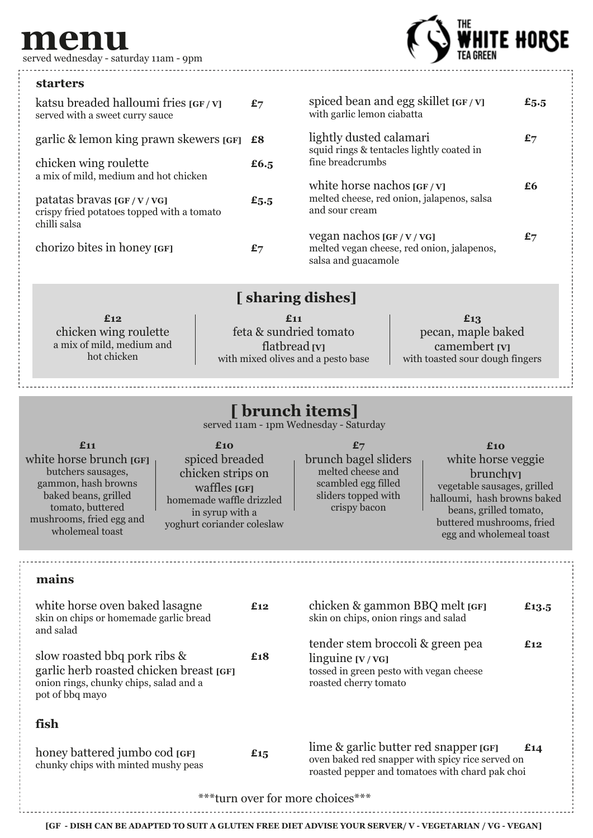# **menu**<br>
served wednesday - saturday 11am - 9pm



#### **starters**

| katsu breaded halloumi fries [GF/V]<br>served with a sweet curry sauce                                       | £7   |
|--------------------------------------------------------------------------------------------------------------|------|
| garlic & lemon king prawn skewers [GF]                                                                       | £8   |
| chicken wing roulette<br>a mix of mild, medium and hot chicken                                               | £6.5 |
| patatas bravas $\text{[GF}/\text{V}/\text{VG}$<br>crispy fried potatoes topped with a tomato<br>chilli salsa | £5.5 |
| chorizo bites in honey [GF]                                                                                  |      |

## spiced bean and egg skillet **[GF / V] £5.5** with garlic lemon ciabatta lightly dusted calamari **£7** squid rings & tentacles lightly coated in fine breadcrumbs white horse nachos  $\left[\frac{GF}{V}\right]$  **£6** melted cheese, red onion, jalapenos, salsa and sour cream vegan nachos  $\left[\frac{GF}{V} \right]$   $\qquad \qquad$   $\qquad$   $\qquad$   $\qquad$   $\qquad$   $\qquad$   $\qquad$   $\qquad$   $\qquad$   $\qquad$   $\qquad$   $\qquad$   $\qquad$   $\qquad$   $\qquad$   $\qquad$   $\qquad$   $\qquad$   $\qquad$   $\qquad$   $\qquad$   $\qquad$   $\qquad$   $\qquad$   $\qquad$   $\qquad$   $\qquad$   $\qquad$   $\qquad$   $\qquad$   $\qquad$   $\qquad$ melted vegan cheese, red onion, jalapenos, salsa and guacamole

## **[ sharing dishes]**

**£12** chicken wing roulette a mix of mild, medium and hot chicken

**£11** feta & sundried tomato flatbread **[V]** with mixed olives and a pesto base

**£13** pecan, maple baked camembert **[V]** with toasted sour dough fingers

| [brunch items]<br>served 11am - 1pm Wednesday - Saturday                                                                                                               |                                                                                                                                         |     |                                                                                                                                              |                                                                                                                                                                                                    |       |  |  |
|------------------------------------------------------------------------------------------------------------------------------------------------------------------------|-----------------------------------------------------------------------------------------------------------------------------------------|-----|----------------------------------------------------------------------------------------------------------------------------------------------|----------------------------------------------------------------------------------------------------------------------------------------------------------------------------------------------------|-------|--|--|
| £11<br>white horse brunch [GF]<br>butchers sausages,<br>gammon, hash browns<br>baked beans, grilled<br>tomato, buttered<br>mushrooms, fried egg and<br>wholemeal toast | £10<br>spiced breaded<br>chicken strips on<br>waffles [GF]<br>homemade waffle drizzled<br>in syrup with a<br>yoghurt coriander coleslaw |     | $E_7$<br>brunch bagel sliders<br>melted cheese and<br>scambled egg filled<br>sliders topped with<br>crispy bacon                             | £10<br>white horse veggie<br>brunch <sub>[V]</sub><br>vegetable sausages, grilled<br>halloumi, hash browns baked<br>beans, grilled tomato,<br>buttered mushrooms, fried<br>egg and wholemeal toast |       |  |  |
|                                                                                                                                                                        |                                                                                                                                         |     |                                                                                                                                              |                                                                                                                                                                                                    |       |  |  |
| mains                                                                                                                                                                  |                                                                                                                                         |     |                                                                                                                                              |                                                                                                                                                                                                    |       |  |  |
| white horse oven baked lasagne<br>skin on chips or homemade garlic bread<br>and salad                                                                                  |                                                                                                                                         | £12 | chicken & gammon BBQ melt [GF]<br>skin on chips, onion rings and salad                                                                       |                                                                                                                                                                                                    | £13.5 |  |  |
| slow roasted bbq pork ribs &<br>garlic herb roasted chicken breast [GF]<br>onion rings, chunky chips, salad and a<br>pot of bbq mayo                                   |                                                                                                                                         | £18 | tender stem broccoli & green pea<br>linguine $[v/$ vg<br>tossed in green pesto with vegan cheese<br>roasted cherry tomato                    |                                                                                                                                                                                                    | £12   |  |  |
| fish                                                                                                                                                                   |                                                                                                                                         |     |                                                                                                                                              |                                                                                                                                                                                                    |       |  |  |
| honey battered jumbo cod [GF]<br>chunky chips with minted mushy peas                                                                                                   |                                                                                                                                         | £15 | lime & garlic butter red snapper [GF]<br>oven baked red snapper with spicy rice served on<br>roasted pepper and tomatoes with chard pak choi |                                                                                                                                                                                                    | £14   |  |  |

#### \*\*\*turn over for more choices\*\*\*